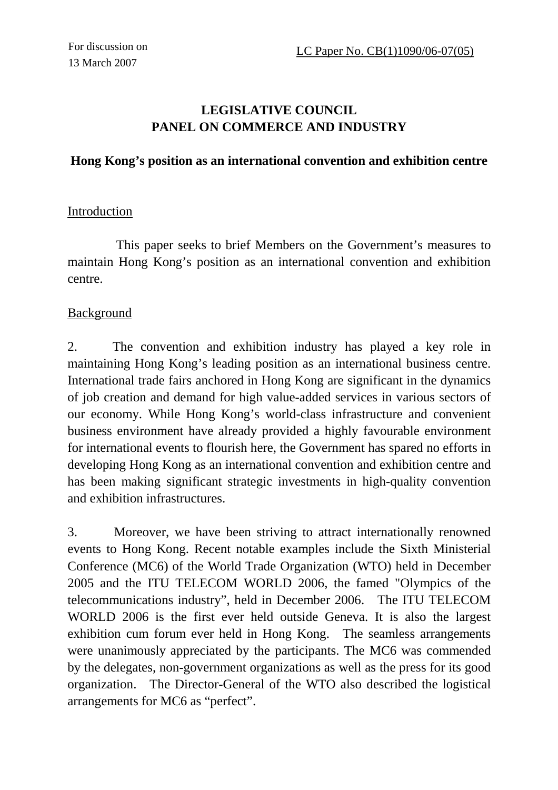# **LEGISLATIVE COUNCIL PANEL ON COMMERCE AND INDUSTRY**

#### **Hong Kong's position as an international convention and exhibition centre**

#### **Introduction**

This paper seeks to brief Members on the Government's measures to maintain Hong Kong's position as an international convention and exhibition centre.

#### Background

2. The convention and exhibition industry has played a key role in maintaining Hong Kong's leading position as an international business centre. International trade fairs anchored in Hong Kong are significant in the dynamics of job creation and demand for high value-added services in various sectors of our economy. While Hong Kong's world-class infrastructure and convenient business environment have already provided a highly favourable environment for international events to flourish here, the Government has spared no efforts in developing Hong Kong as an international convention and exhibition centre and has been making significant strategic investments in high-quality convention and exhibition infrastructures.

3. Moreover, we have been striving to attract internationally renowned events to Hong Kong. Recent notable examples include the Sixth Ministerial Conference (MC6) of the World Trade Organization (WTO) held in December 2005 and the ITU TELECOM WORLD 2006, the famed "Olympics of the telecommunications industry", held in December 2006. The ITU TELECOM WORLD 2006 is the first ever held outside Geneva. It is also the largest exhibition cum forum ever held in Hong Kong. The seamless arrangements were unanimously appreciated by the participants. The MC6 was commended by the delegates, non-government organizations as well as the press for its good organization. The Director-General of the WTO also described the logistical arrangements for MC6 as "perfect".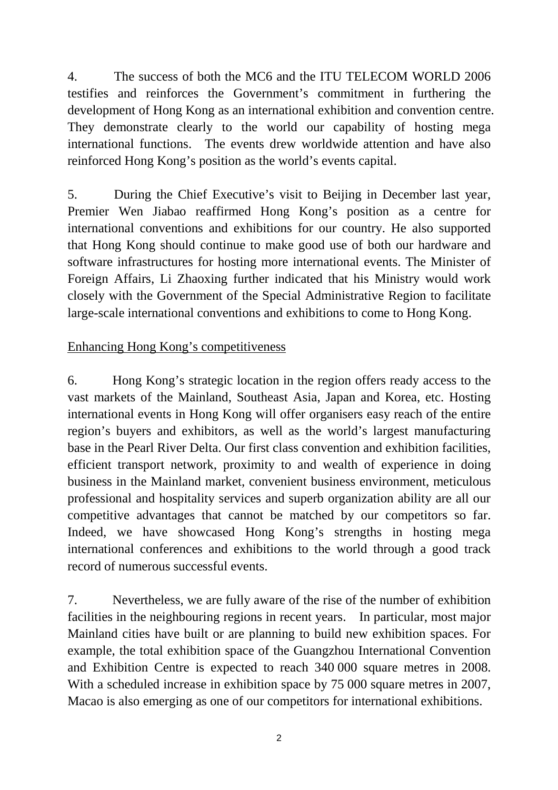4. The success of both the MC6 and the ITU TELECOM WORLD 2006 testifies and reinforces the Government's commitment in furthering the development of Hong Kong as an international exhibition and convention centre. They demonstrate clearly to the world our capability of hosting mega international functions. The events drew worldwide attention and have also reinforced Hong Kong's position as the world's events capital.

5. During the Chief Executive's visit to Beijing in December last year, Premier Wen Jiabao reaffirmed Hong Kong's position as a centre for international conventions and exhibitions for our country. He also supported that Hong Kong should continue to make good use of both our hardware and software infrastructures for hosting more international events. The Minister of Foreign Affairs, Li Zhaoxing further indicated that his Ministry would work closely with the Government of the Special Administrative Region to facilitate large-scale international conventions and exhibitions to come to Hong Kong.

## Enhancing Hong Kong's competitiveness

6. Hong Kong's strategic location in the region offers ready access to the vast markets of the Mainland, Southeast Asia, Japan and Korea, etc. Hosting international events in Hong Kong will offer organisers easy reach of the entire region's buyers and exhibitors, as well as the world's largest manufacturing base in the Pearl River Delta. Our first class convention and exhibition facilities, efficient transport network, proximity to and wealth of experience in doing business in the Mainland market, convenient business environment, meticulous professional and hospitality services and superb organization ability are all our competitive advantages that cannot be matched by our competitors so far. Indeed, we have showcased Hong Kong's strengths in hosting mega international conferences and exhibitions to the world through a good track record of numerous successful events.

7. Nevertheless, we are fully aware of the rise of the number of exhibition facilities in the neighbouring regions in recent years. In particular, most major Mainland cities have built or are planning to build new exhibition spaces. For example, the total exhibition space of the Guangzhou International Convention and Exhibition Centre is expected to reach 340 000 square metres in 2008. With a scheduled increase in exhibition space by 75 000 square metres in 2007, Macao is also emerging as one of our competitors for international exhibitions.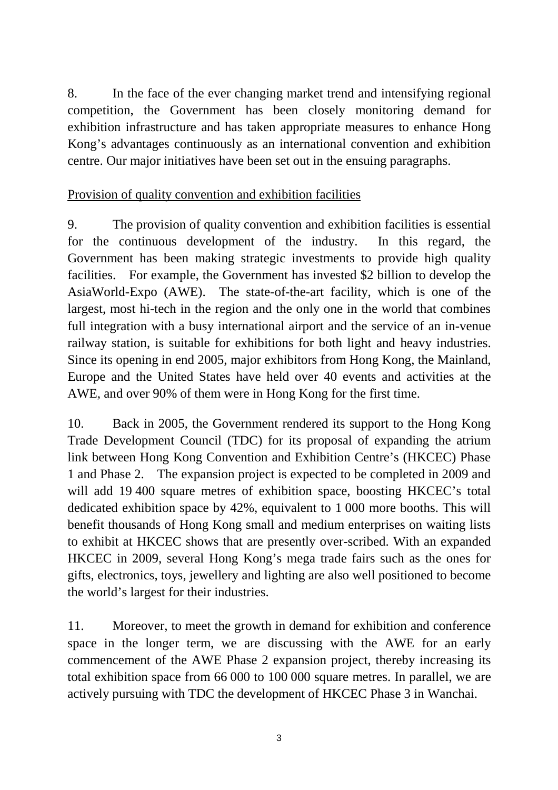8. In the face of the ever changing market trend and intensifying regional competition, the Government has been closely monitoring demand for exhibition infrastructure and has taken appropriate measures to enhance Hong Kong's advantages continuously as an international convention and exhibition centre. Our major initiatives have been set out in the ensuing paragraphs.

# Provision of quality convention and exhibition facilities

9. The provision of quality convention and exhibition facilities is essential for the continuous development of the industry. In this regard, the Government has been making strategic investments to provide high quality facilities. For example, the Government has invested \$2 billion to develop the AsiaWorld-Expo (AWE). The state-of-the-art facility, which is one of the largest, most hi-tech in the region and the only one in the world that combines full integration with a busy international airport and the service of an in-venue railway station, is suitable for exhibitions for both light and heavy industries. Since its opening in end 2005, major exhibitors from Hong Kong, the Mainland, Europe and the United States have held over 40 events and activities at the AWE, and over 90% of them were in Hong Kong for the first time.

10. Back in 2005, the Government rendered its support to the Hong Kong Trade Development Council (TDC) for its proposal of expanding the atrium link between Hong Kong Convention and Exhibition Centre's (HKCEC) Phase 1 and Phase 2. The expansion project is expected to be completed in 2009 and will add 19 400 square metres of exhibition space, boosting HKCEC's total dedicated exhibition space by 42%, equivalent to 1 000 more booths. This will benefit thousands of Hong Kong small and medium enterprises on waiting lists to exhibit at HKCEC shows that are presently over-scribed. With an expanded HKCEC in 2009, several Hong Kong's mega trade fairs such as the ones for gifts, electronics, toys, jewellery and lighting are also well positioned to become the world's largest for their industries.

11. Moreover, to meet the growth in demand for exhibition and conference space in the longer term, we are discussing with the AWE for an early commencement of the AWE Phase 2 expansion project, thereby increasing its total exhibition space from 66 000 to 100 000 square metres. In parallel, we are actively pursuing with TDC the development of HKCEC Phase 3 in Wanchai.